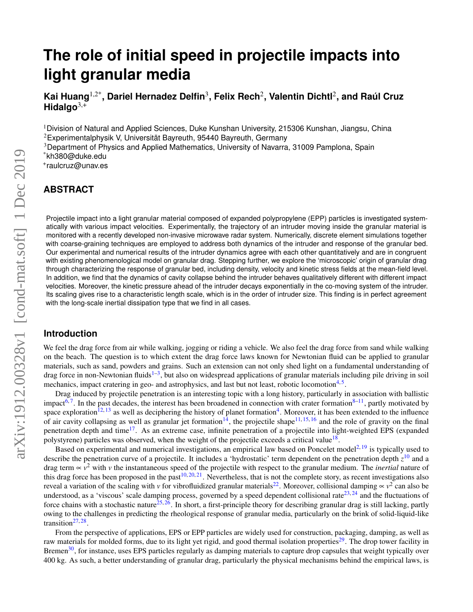# **The role of initial speed in projectile impacts into light granular media**

**Kai Huang**1,2\***, Dariel Hernadez Delfin**<sup>3</sup> **, Felix Rech**<sup>2</sup> **, Valentin Dichtl**<sup>2</sup> **, and Ra ´ul Cruz Hidalgo**3,+

<sup>1</sup>Division of Natural and Applied Sciences, Duke Kunshan University, 215306 Kunshan, Jiangsu, China  $2$ Experimentalphysik V, Universität Bayreuth, 95440 Bayreuth, Germany

<sup>3</sup>Department of Physics and Applied Mathematics, University of Navarra, 31009 Pamplona, Spain

\*kh380@duke.edu

+ raulcruz@unav.es

# **ABSTRACT**

Projectile impact into a light granular material composed of expanded polypropylene (EPP) particles is investigated systematically with various impact velocities. Experimentally, the trajectory of an intruder moving inside the granular material is monitored with a recently developed non-invasive microwave radar system. Numerically, discrete element simulations together with coarse-graining techniques are employed to address both dynamics of the intruder and response of the granular bed. Our experimental and numerical results of the intruder dynamics agree with each other quantitatively and are in congruent with existing phenomenological model on granular drag. Stepping further, we explore the 'microscopic' origin of granular drag through characterizing the response of granular bed, including density, velocity and kinetic stress fields at the mean-field level. In addition, we find that the dynamics of cavity collapse behind the intruder behaves qualitatively different with different impact velocities. Moreover, the kinetic pressure ahead of the intruder decays exponentially in the co-moving system of the intruder. Its scaling gives rise to a characteristic length scale, which is in the order of intruder size. This finding is in perfect agreement with the long-scale inertial dissipation type that we find in all cases.

## **Introduction**

We feel the drag force from air while walking, jogging or riding a vehicle. We also feel the drag force from sand while walking on the beach. The question is to which extent the drag force laws known for Newtonian fluid can be applied to granular materials, such as sand, powders and grains. Such an extension can not only shed light on a fundamental understanding of drag force in non-Newtonian fluids<sup>1-[3](#page-12-1)</sup>, but also on widespread applications of granular materials including pile driving in soil mechanics, impact cratering in geo- and astrophysics, and last but not least, robotic locomotion<sup>[4,](#page-12-2)[5](#page-12-3)</sup>.

Drag induced by projectile penetration is an interesting topic with a long history, particularly in association with ballistic impact<sup>[6,](#page-12-4)[7](#page-12-5)</sup>. In the past decades, the interest has been broadened in connection with crater formation<sup>[8–](#page-12-6)[11](#page-12-7)</sup>, partly motivated by space exploration<sup>[12,](#page-12-8) [13](#page-12-9)</sup> as well as deciphering the history of planet formation<sup>[4](#page-12-2)</sup>. Moreover, it has been extended to the influence of air cavity collapsing as well as granular jet formation<sup>[14](#page-13-0)</sup>, the projectile shape<sup>[11,](#page-12-7) [15,](#page-13-1) [16](#page-13-2)</sup> and the role of gravity on the final penetration depth and time<sup>[17](#page-13-3)</sup>. As an extreme case, infinite penetration of a projectile into light-weighted EPS (expanded polystyrene) particles was observed, when the weight of the projectile exceeds a critical value<sup>[18](#page-13-4)</sup>.

Based on experimental and numerical investigations, an empirical law based on Poncelet model<sup>[2,](#page-12-10) [19](#page-13-5)</sup> is typically used to describe the penetration curve of a projectile. It includes a 'hydrostatic' term dependent on the penetration depth *z* [10](#page-12-11) and a drag term ∝ *v* <sup>2</sup> with *v* the instantaneous speed of the projectile with respect to the granular medium. The *inertial* nature of this drag force has been proposed in the past<sup>[10,](#page-12-11) [20,](#page-13-6) [21](#page-13-7)</sup>. Nevertheless, that is not the complete story, as recent investigations also reveal a variation of the scaling with *v* for vibrofluidized granular materials<sup>[22](#page-13-8)</sup>. Moreover, collisional damping  $\propto v^2$  can also be understood, as a 'viscous' scale damping process, governed by a speed dependent collisional rate<sup>[23,](#page-13-9) [24](#page-13-10)</sup> and the fluctuations of force chains with a stochastic nature<sup>[25,](#page-13-11) [26](#page-13-12)</sup>. In short, a first-principle theory for describing granular drag is still lacking, partly owing to the challenges in predicting the rheological response of granular media, particularly on the brink of solid-liquid-like transition<sup>[27,](#page-13-13) [28](#page-13-14)</sup>.

From the perspective of applications, EPS or EPP particles are widely used for construction, packaging, damping, as well as raw materials for molded forms, due to its light yet rigid, and good thermal isolation properties<sup>[29](#page-13-15)</sup>. The drop tower facility in Bremen<sup>[30](#page-13-16)</sup>, for instance, uses EPS particles regularly as damping materials to capture drop capsules that weight typically over 400 kg. As such, a better understanding of granular drag, particularly the physical mechanisms behind the empirical laws, is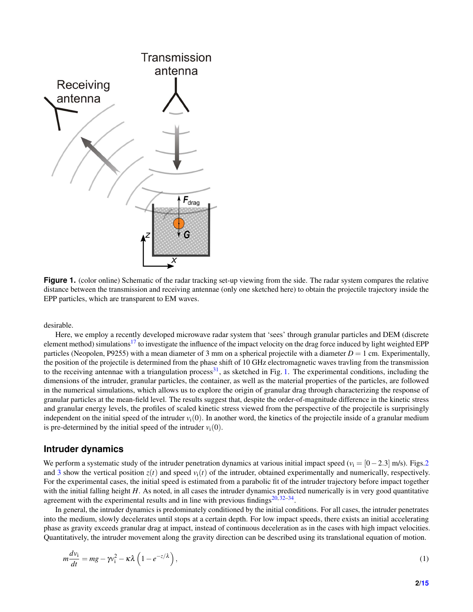<span id="page-1-0"></span>

**Figure 1.** (color online) Schematic of the radar tracking set-up viewing from the side. The radar system compares the relative distance between the transmission and receiving antennae (only one sketched here) to obtain the projectile trajectory inside the EPP particles, which are transparent to EM waves.

desirable.

Here, we employ a recently developed microwave radar system that 'sees' through granular particles and DEM (discrete element method) simulations<sup>[17](#page-13-3)</sup> to investigate the influence of the impact velocity on the drag force induced by light weighted EPP particles (Neopolen, P9255) with a mean diameter of 3 mm on a spherical projectile with a diameter  $D = 1$  cm. Experimentally, the position of the projectile is determined from the phase shift of 10 GHz electromagnetic waves travling from the transmission to the receiving antennae with a triangulation process<sup>[31](#page-13-17)</sup>, as sketched in Fig. [1.](#page-1-0) The experimental conditions, including the dimensions of the intruder, granular particles, the container, as well as the material properties of the particles, are followed in the numerical simulations, which allows us to explore the origin of granular drag through characterizing the response of granular particles at the mean-field level. The results suggest that, despite the order-of-magnitude difference in the kinetic stress and granular energy levels, the profiles of scaled kinetic stress viewed from the perspective of the projectile is surprisingly independent on the initial speed of the intruder  $v_i(0)$ . In another word, the kinetics of the projectile inside of a granular medium is pre-determined by the initial speed of the intruder  $v_i(0)$ .

## **Intruder dynamics**

We perform a systematic study of the intruder penetration dynamics at various initial impact speed ( $v_i = [0-2.3]$  m/s). Figs[.2](#page-2-0) and [3](#page-2-1) show the vertical position  $z(t)$  and speed  $v_i(t)$  of the intruder, obtained experimentally and numerically, respectively. For the experimental cases, the initial speed is estimated from a parabolic fit of the intruder trajectory before impact together with the initial falling height *H*. As noted, in all cases the intruder dynamics predicted numerically is in very good quantitative agreement with the experimental results and in line with previous findings $20,32-34$  $20,32-34$  $20,32-34$ .

In general, the intruder dynamics is predominately conditioned by the initial conditions. For all cases, the intruder penetrates into the medium, slowly decelerates until stops at a certain depth. For low impact speeds, there exists an initial accelerating phase as gravity exceeds granular drag at impact, instead of continuous deceleration as in the cases with high impact velocities. Quantitatively, the intruder movement along the gravity direction can be described using its translational equation of motion.

<span id="page-1-1"></span>
$$
m\frac{dv_i}{dt} = mg - \gamma v_i^2 - \kappa \lambda \left(1 - e^{-z/\lambda}\right),\tag{1}
$$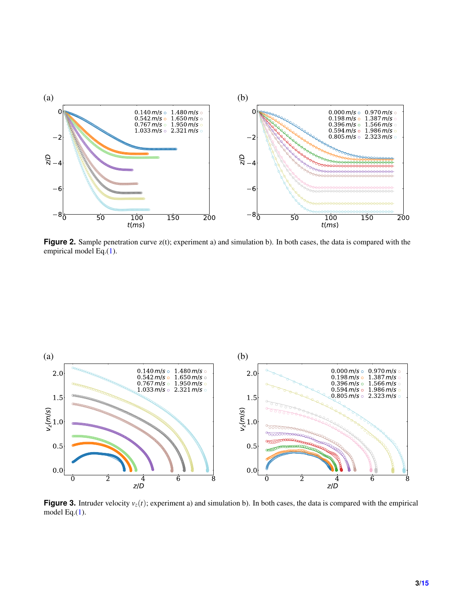<span id="page-2-0"></span>

**Figure 2.** Sample penetration curve  $z(t)$ ; experiment a) and simulation b). In both cases, the data is compared with the empirical model Eq.[\(1\)](#page-1-1).

<span id="page-2-1"></span>

**Figure 3.** Intruder velocity  $v_z(t)$ ; experiment a) and simulation b). In both cases, the data is compared with the empirical model Eq.[\(1\)](#page-1-1).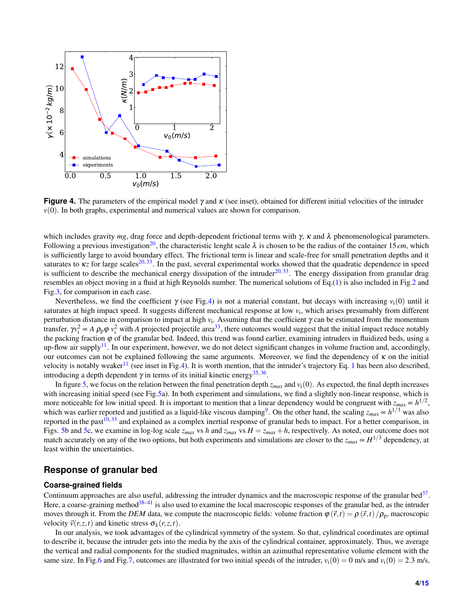<span id="page-3-0"></span>

**Figure 4.** The parameters of the empirical model γ and κ (see inset), obtained for different initial velocities of the intruder *v*(0). In both graphs, experimental and numerical values are shown for comparison.

which includes gravity  $mg$ , drag force and depth-dependent frictional terms with  $\gamma$ ,  $\kappa$  and  $\lambda$  phenomenological parameters. Following a previous investigation<sup>[20](#page-13-6)</sup>, the characteristic lenght scale  $\lambda$  is chosen to be the radius of the container 15*cm*, which is sufficiently large to avoid boundary effect. The frictional term is linear and scale-free for small penetration depths and it saturates to  $\kappa z$  for large scales<sup>[20,](#page-13-6)[33](#page-13-20)</sup>. In the past, several experimental works showed that the quadratic dependence in speed is sufficient to describe the mechanical energy dissipation of the intruder<sup>[20,](#page-13-6) [33](#page-13-20)</sup>. The energy dissipation from granular drag resembles an object moving in a fluid at high Reynolds number. The numerical solutions of Eq.[\(1\)](#page-1-1) is also included in Fig[.2](#page-2-0) and Fig[.3,](#page-2-1) for comparison in each case.

Nevertheless, we find the coefficient  $\gamma$  (see Fig[.4\)](#page-3-0) is not a material constant, but decays with increasing  $v_i(0)$  until it saturates at high impact speed. It suggests different mechanical response at low  $v_i$ , which arises presumably from different perturbation distance in comparison to impact at high *v*<sup>i</sup> . Assuming that the coefficient γ can be estimated from the momentum transfer,  $\gamma v_i^2 \propto A \rho_p \varphi v_i^2$  with *A* projected projectile area<sup>[33](#page-13-20)</sup>, there outcomes would suggest that the initial impact reduce notably the packing fraction  $\varphi$  of the granular bed. Indeed, this trend was found earlier, examining intruders in fluidized beds, using a up-flow air supply<sup>[11](#page-12-7)</sup>. In our experiment, however, we do not detect significant changes in volume fraction and, accordingly, our outcomes can not be explained following the same arguments. Moreover, we find the dependency of  $\kappa$  on the initial velocity is notably weaker<sup>[11](#page-12-7)</sup> (see inset in Fig[.4\)](#page-3-0). It is worth mention, that the intruder's trajectory Eq. [1](#page-1-1) has been also described, introducing a depth dependent  $\gamma$  in terms of its initial kinetic energy<sup>[35,](#page-13-21)[36](#page-13-22)</sup>.

In figure [5,](#page-4-0) we focus on the relation between the final penetration depth  $z_{max}$  and  $v_i(0)$ . As expected, the final depth increases with increasing initial speed (see Fig[.5a](#page-4-0)). In both experiment and simulations, we find a slightly non-linear response, which is more noticeable for low initial speed. It is important to mention that a linear dependency would be congruent with  $z_{max} \propto h^{1/2}$ , which was earlier reported and justified as a liquid-like viscous damping<sup>[9](#page-12-12)</sup>. On the other hand, the scaling  $z_{max} \propto h^{1/3}$  was also reported in the past<sup>[10,](#page-12-11) [33](#page-13-20)</sup> and explained as a complex inertial response of granular beds to impact. For a better comparison, in Figs. [5b](#page-4-0) and [5c](#page-4-0), we examine in log-log scale  $z_{max}$  vs  $h$  and  $z_{max}$  vs  $H = z_{max} + h$ , respectively. As noted, our outcome does not match accurately on any of the two options, but both experiments and simulations are closer to the  $z_{max} \propto H^{1/3}$  dependency, at least within the uncertainties.

### **Response of granular bed**

#### **Coarse-grained fields**

Continuum approaches are also useful, addressing the intruder dynamics and the macroscopic response of the granular bed $37$ . Here, a coarse-graining method<sup>[38–](#page-13-24)[41](#page-13-25)</sup> is also used to examine the local macroscopic responses of the granular bed, as the intruder moves through it. From the *DEM* data, we compute the macroscopic fields: volume fraction  $\varphi(\vec{r},t) = \rho(\vec{r},t)/\rho_{\rm p}$ , macroscopic velocity  $\vec{v}(r, z, t)$  and kinetic stress  $\sigma_k(r, z, t)$ .

In our analysis, we took advantages of the cylindrical symmetry of the system. So that, cylindrical coordinates are optimal to describe it, because the intruder gets into the media by the axis of the cylindrical container, approximately. Thus, we average the vertical and radial components for the studied magnitudes, within an azimuthal representative volume element with the same size. In Fig[.6](#page-6-0) and Fig[.7,](#page-7-0) outcomes are illustrated for two initial speeds of the intruder,  $v_i(0) = 0$  m/s and  $v_i(0) = 2.3$  m/s,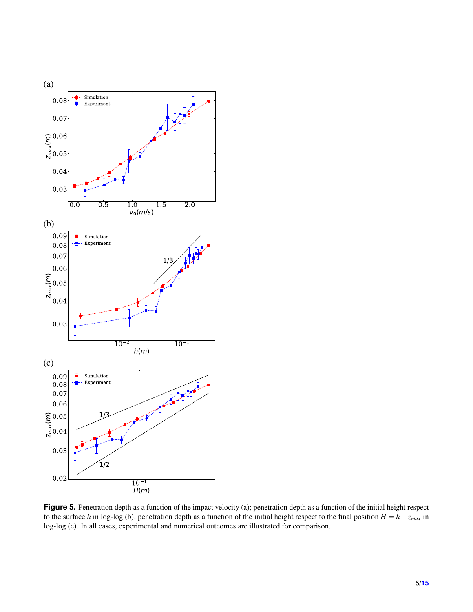<span id="page-4-0"></span>

**Figure 5.** Penetration depth as a function of the impact velocity (a); penetration depth as a function of the initial height respect to the surface *h* in log-log (b); penetration depth as a function of the initial height respect to the final position  $H = h + z_{max}$  in log-log (c). In all cases, experimental and numerical outcomes are illustrated for comparison.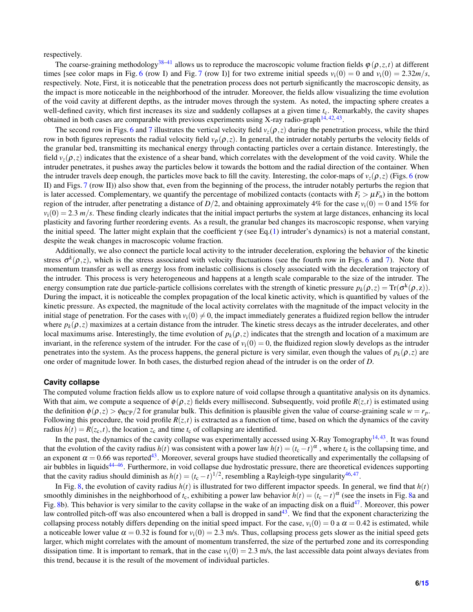respectively.

The coarse-graining methodology<sup>[38](#page-13-24)[–41](#page-13-25)</sup> allows us to reproduce the macroscopic volume fraction fields  $\varphi(\rho, z, t)$  at different times [see color maps in Fig. [6](#page-6-0) (row I) and Fig. [7](#page-7-0) (row I)] for two extreme initial speeds  $v_i(0) = 0$  and  $v_i(0) = 2.32m/s$ , respectively. Note, First, it is noticeable that the penetration process does not perturb significantly the macroscopic density, as the impact is more noticeable in the neighborhood of the intruder. Moreover, the fields allow visualizing the time evolution of the void cavity at different depths, as the intruder moves through the system. As noted, the impacting sphere creates a well-defined cavity, which first increases its size and suddenly collapses at a given time *t*c. Remarkably, the cavity shapes obtained in both cases are comparable with previous experiments using X-ray radio-graph $^{14,42,43}$  $^{14,42,43}$  $^{14,42,43}$  $^{14,42,43}$  $^{14,42,43}$ .

The second row in Figs. [6](#page-6-0) and [7](#page-7-0) illustrates the vertical velocity field  $v_z(\rho, z)$  during the penetration process, while the third row in both figures represents the radial velocity field  $v_\rho(\rho,z)$ . In general, the intruder notably perturbs the velocity fields of the granular bed, transmitting its mechanical energy through contacting particles over a certain distance. Interestingly, the field  $v_z(\rho, z)$  indicates that the existence of a shear band, which correlates with the development of the void cavity. While the intruder penetrates, it pushes away the particles below it towards the bottom and the radial direction of the container. When the intruder travels deep enough, the particles move back to fill the cavity. Interesting, the color-maps of  $v_z(\rho, z)$  (Figs. [6](#page-6-0) (row II) and Figs. [7](#page-7-0) (row II)) also show that, even from the beginning of the process, the intruder notably perturbs the region that is later accessed. Complementary, we quantify the percentage of mobilized contacts (contacts with  $F_t > \mu F_n$ ) in the bottom region of the intruder, after penetrating a distance of  $D/2$ , and obtaining approximately 4% for the case  $v_i(0) = 0$  and 15% for  $v_i(0) = 2.3$  *m/s*. These finding clearly indicates that the initial impact perturbs the system at large distances, enhancing its local plasticity and favoring further reordering events. As a result, the granular bed changes its macroscopic response, when varying the initial speed. The latter might explain that the coefficient  $\gamma$  (see Eq.[\(1\)](#page-1-1) intruder's dynamics) is not a material constant, despite the weak changes in macroscopic volume fraction.

Additionally, we also connect the particle local activity to the intruder deceleration, exploring the behavior of the kinetic stress  $\sigma^k(\rho, z)$ , which is the stress associated with velocity fluctuations (see the fourth row in Figs. [6](#page-6-0) and [7\)](#page-7-0). Note that momentum transfer as well as energy loss from inelastic collisions is closely associated with the deceleration trajectory of the intruder. This process is very heterogeneous and happens at a length scale comparable to the size of the intruder. The energy consumption rate due particle-particle collisions correlates with the strength of kinetic pressure  $p_k(\rho, z) = \text{Tr}(\sigma^k(\rho, z))$ . During the impact, it is noticeable the complex propagation of the local kinetic activity, which is quantified by values of the kinetic pressure. As expected, the magnitude of the local activity correlates with the magnitude of the impact velocity in the initial stage of penetration. For the cases with  $v_i(0) \neq 0$ , the impact immediately generates a fluidized region bellow the intruder where  $p_k(\rho, z)$  maximizes at a certain distance from the intruder. The kinetic stress decays as the intruder decelerates, and other local maximums arise. Interestingly, the time evolution of  $p_k(\rho, z)$  indicates that the strength and location of a maximum are invariant, in the reference system of the intruder. For the case of  $v_i(0) = 0$ , the fluidized region slowly develops as the intruder penetrates into the system. As the process happens, the general picture is very similar, even though the values of  $p_k(\rho, z)$  are one order of magnitude lower. In both cases, the disturbed region ahead of the intruder is on the order of *D*.

#### **Cavity collapse**

The computed volume fraction fields allow us to explore nature of void collapse through a quantitative analysis on its dynamics. With that aim, we compute a sequence of  $\phi(\rho, z)$  fields every millisecond. Subsequently, void profile  $R(z, t)$  is estimated using the definition  $\phi(\rho, z) > \phi_{\text{RCP}}/2$  for granular bulk. This definition is plausible given the value of coarse-graining scale  $w = r_p$ . Following this procedure, the void profile  $R(z,t)$  is extracted as a function of time, based on which the dynamics of the cavity radius  $h(t) = R(z_c, t)$ , the location  $z_c$  and time  $t_c$  of collapsing are identified.

In the past, the dynamics of the cavity collapse was experimentally accessed using X-Ray Tomography<sup>[14,](#page-13-0) [43](#page-14-2)</sup>. It was found that the evolution of the cavity radius  $h(t)$  was consistent with a power law  $h(t) = (t_c - t)^\alpha$ , where  $t_c$  is the collapsing time, and an exponent  $\alpha = 0.66$  was reported<sup>[43](#page-14-2)</sup>. Moreover, several groups have studied theoretically and experimentally the collapsing of air bubbles in liquids<sup>[44](#page-14-3)[–46](#page-14-4)</sup>. Furthermore, in void collapse due hydrostatic pressure, there are theoretical evidences supporting that the cavity radius should diminish as  $h(t) = (t_c - t)^{1/2}$ , resembling a Rayleigh-type singularity<sup>[46,](#page-14-4)[47](#page-14-5)</sup>.

In Fig. [8,](#page-8-0) the evolution of cavity radius  $h(t)$  is illustrated for two different impactor speeds. In general, we find that  $h(t)$ smoothly diminishes in the neighborhood of  $t_c$ , exhibiting a power law behavior  $h(t) = (t_c - t)^\alpha$  (see the insets in Fig. [8a](#page-8-0) and Fig. [8b](#page-8-0)). This behavior is very similar to the cavity collapse in the wake of an impacting disk on a fluid<sup>[47](#page-14-5)</sup>. Moreover, this power law controlled pitch-off was also encountered when a ball is dropped in sand $43$ . We find that the exponent characterizing the collapsing process notably differs depending on the initial speed impact. For the case,  $v_i(0) = 0$  a  $\alpha = 0.42$  is estimated, while a noticeable lower value  $\alpha = 0.32$  is found for  $v_i(0) = 2.3$  m/s. Thus, collapsing process gets slower as the initial speed gets larger, which might correlates with the amount of momentum transferred, the size of the perturbed zone and its corresponding dissipation time. It is important to remark, that in the case  $v_i(0) = 2.3$  m/s, the last accessible data point always deviates from this trend, because it is the result of the movement of individual particles.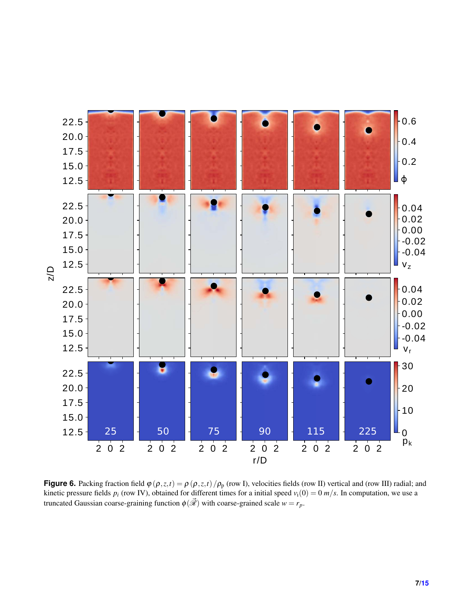<span id="page-6-0"></span>

**Figure 6.** Packing fraction field  $\varphi(\rho, z, t) = \rho(\rho, z, t) / \rho_p$  (row I), velocities fields (row II) vertical and (row III) radial; and kinetic pressure fields  $p_i$  (row IV), obtained for different times for a initial speed  $v_i(0) = 0$   $m/s$ . In computation, we use a truncated Gaussian coarse-graining function  $\phi(\vec{\mathcal{R}})$  with coarse-grained scale  $w = r_p$ .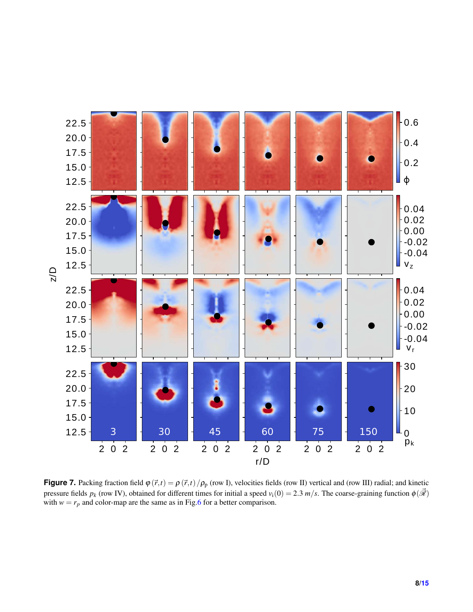<span id="page-7-0"></span>

**Figure 7.** Packing fraction field  $\varphi(\vec{r},t) = \rho(\vec{r},t)/\rho_p$  (row I), velocities fields (row II) vertical and (row III) radial; and kinetic pressure fields  $p_k$  (row IV), obtained for different times for initial a speed  $v_i(0) = 2.3$  m/s. The coarse-graining function  $\phi(\vec{\mathscr{R}})$ with  $w = r_p$  and color-map are the same as in Fig[.6](#page-6-0) for a better comparison.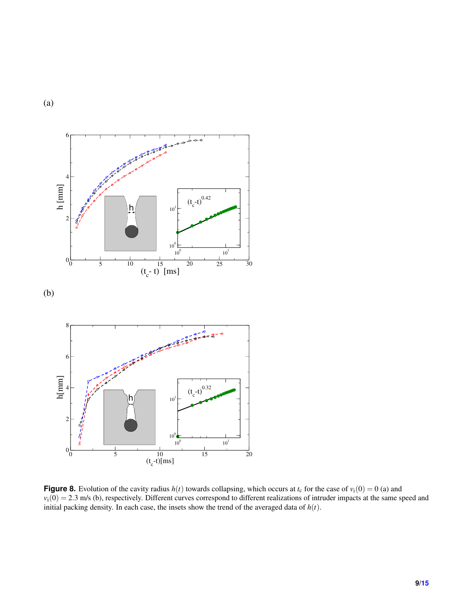6 Andrew Care and the 4  $\hbox{h}$  [mm]  $\hbox{ }$  $(t_c-t)^{0.42}$ h  $10<sup>1</sup>$ 2  $10^0\,$  $10^0$   $10^1$  $0<sub>0</sub>$ 0 5 10 15 20 25 30<br>  $(t_c - t)$  [ms] (b) 8 6 h[mm] 4  $(t_c-t)^{0.32}$ h  $10<sup>1</sup>$ 2  $10<sup>0</sup>$  $10^0$   $10^1$  $0_0$ 0 5 10 15 20<br>  $(t_c-t)[ms]$ 

<span id="page-8-0"></span>(a)

**Figure 8.** Evolution of the cavity radius  $h(t)$  towards collapsing, which occurs at  $t_c$  for the case of  $v_i(0) = 0$  (a) and  $v_i(0) = 2.3$  m/s (b), respectively. Different curves correspond to different realizations of intruder impacts at the same speed and initial packing density. In each case, the insets show the trend of the averaged data of *h*(*t*).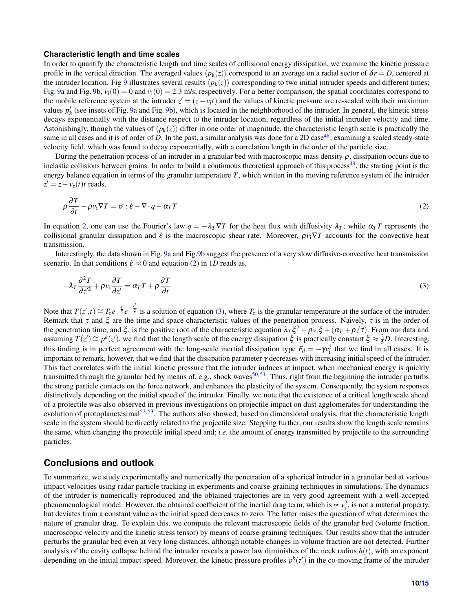#### **Characteristic length and time scales**

In order to quantify the characteristic length and time scales of collisional energy dissipation, we examine the kinetic pressure profile in the vertical direction. The averaged values  $\langle p_k(z) \rangle$  correspond to an average on a radial sector of  $\delta r = D$ , centered at the intruder location. Fig [9](#page-10-0) illustrates several results  $\langle p_k(z) \rangle$  corresponding to two initial intruder speeds and different times; Fig. [9a](#page-10-0) and Fig. [9b](#page-10-0),  $v_i(0) = 0$  and  $v_i(0) = 2.3$  m/s, respectively. For a better comparison, the spatial coordinates correspond to the mobile reference system at the intruder  $z' = (z - v_i t)$  and the values of kinetic pressure are re-scaled with their maximum values  $p_k^i$  (see insets of Fig. [9a](#page-10-0) and Fig. [9b](#page-10-0)), which is located in the neighborhood of the intruder. In general, the kinetic stress decays exponentially with the distance respect to the intruder location, regardless of the initial intruder velocity and time. Astonishingly, though the values of  $\langle p_k(z) \rangle$  differ in one order of magnitude, the characteristic length scale is practically the same in all cases and it is of order of *D*. In the past, a similar analysis was done for a 2D case<sup>[48](#page-14-6)</sup>; examining a scaled steady-state velocity field, which was found to decay exponentially, with a correlation length in the order of the particle size.

During the penetration process of an intruder in a granular bed with macroscopic mass density  $\rho$ , dissipation occurs due to inelastic collisions between grains. In order to build a continuous theoretical approach of this process<sup>[49](#page-14-7)</sup>, the starting point is the energy balance equation in terms of the granular temperature *T*, which written in the moving reference system of the intruder  $z' = z - v_z(t)t$  reads,

<span id="page-9-0"></span>
$$
\rho \frac{\partial T}{\partial t} - \rho v_i \nabla T = \sigma : \dot{\varepsilon} - \nabla \cdot q - \alpha_T T \tag{2}
$$

In equation [2,](#page-9-0) one can use the Fourier's law  $q = -\lambda_T \nabla T$  for the heat flux with diffusivity  $\lambda_T$ ; while  $\alpha_T T$  represents the collisional granular dissipation and  $\dot{\varepsilon}$  is the macroscopic shear rate. Moreover,  $\rho v_i \nabla T$  accounts for the convective heat transmission.

Interestingly, the data shown in Fig. [9a](#page-10-0) and Fig[.9b](#page-10-0) suggest the presence of a very slow diffusive-convective heat transmission scenario. In that conditions  $\dot{\varepsilon} \approx 0$  and equation [\(2\)](#page-9-0) in 1*D* reads as,

<span id="page-9-1"></span>
$$
-\lambda_T \frac{\partial^2 T}{\partial z'^2} + \rho v_i \frac{\partial T}{\partial z'} = \alpha_T T + \rho \frac{\partial T}{\partial t}
$$
\n(3)

Note that  $T(z',t) \cong T_0 e^{-\frac{t}{\tau}} e^{-\frac{z'}{\xi}}$  $\bar{\xi}$  is a solution of equation [\(3\)](#page-9-1), where  $T_0$  is the granular temperature at the surface of the intruder. Remark that  $\tau$  and  $\xi$  are the time and space characteristic values of the penetration process. Naively,  $\tau$  is in the order of the penetration time, and  $\xi$ , is the positive root of the characteristic equation  $\lambda_T \xi^2 - \rho v_i \xi + (\alpha_T + \rho/\tau)$ . From our data and assuming  $T(z') \cong p^k(z')$ , we find that the length scale of the energy dissipation  $\xi$  is practically constant  $\xi \approx \frac{2}{5}D$ . Interesting, this finding is in perfect agreement with the long-scale inertial dissipation type  $F_d = -\gamma v_i^2$  that we find in all cases. It is important to remark, however, that we find that the dissipation parameter γ decreases with increasing initial speed of the intruder. This fact correlates with the initial kinetic pressure that the intruder induces at impact, when mechanical energy is quickly transmitted through the granular bed by means of, e.g., shock waves<sup>[50,](#page-14-8)[51](#page-14-9)</sup>. Thus, right from the beginning the intruder perturbs the strong particle contacts on the force network, and enhances the plasticity of the system. Consequently, the system responses distinctively depending on the initial speed of the intruder. Finally, we note that the existence of a critical length scale ahead of a projectile was also observed in previous investigations on projectile impact on dust agglomerates for understanding the evolution of protoplanetesimal<sup>[52,](#page-14-10)[53](#page-14-11)</sup>. The authors also showed, based on dimensional analysis, that the characteristic length scale in the system should be directly related to the projectile size. Stepping further, our results show the length scale remains the same, when changing the projectile initial speed and; *i.e.* the amount of energy transmitted by projectile to the surrounding particles.

### **Conclusions and outlook**

To summarize, we study experimentally and numerically the penetration of a spherical intruder in a granular bed at various impact velocities using radar particle tracking in experiments and coarse-graining techniques in simulations. The dynamics of the intruder is numerically reproduced and the obtained trajectories are in very good agreement with a well-accepted phenomenological model. However, the obtained coefficient of the inertial drag term, which is  $\propto v_i^2$ , is not a material property, but deviates from a constant value as the initial speed decreases to zero. The latter raises the question of what determines the nature of granular drag. To explain this, we compute the relevant macroscopic fields of the granular bed (volume fraction, macroscopic velocity and the kinetic stress tensor) by means of coarse-graining techniques. Our results show that the intruder perturbs the granular bed even at very long distances, although notable changes in volume fraction are not detected. Further analysis of the cavity collapse behind the intruder reveals a power law diminishes of the neck radius  $h(t)$ , with an exponent depending on the initial impact speed. Moreover, the kinetic pressure profiles  $p^k(z')$  in the co-moving frame of the intruder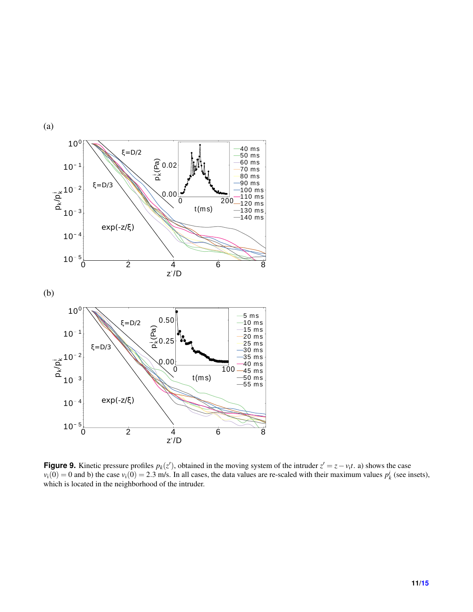<span id="page-10-0"></span>

**Figure 9.** Kinetic pressure profiles  $p_k(z)$ , obtained in the moving system of the intruder  $z' = z - v_i t$ . a) shows the case  $v_i(0) = 0$  and b) the case  $v_i(0) = 2.3$  m/s. In all cases, the data values are re-scaled with their maximum values  $p_k^i$  (see insets), which is located in the neighborhood of the intruder.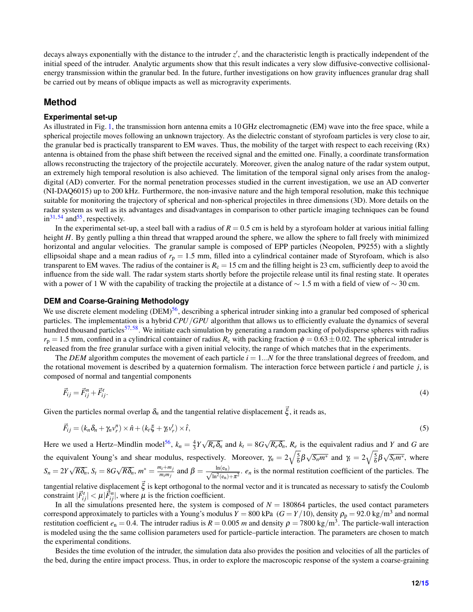decays always exponentially with the distance to the intruder z', and the characteristic length is practically independent of the initial speed of the intruder. Analytic arguments show that this result indicates a very slow diffusive-convective collisionalenergy transmission within the granular bed. In the future, further investigations on how gravity influences granular drag shall be carried out by means of oblique impacts as well as microgravity experiments.

## **Method**

#### **Experimental set-up**

As illustrated in Fig. [1,](#page-1-0) the transmission horn antenna emits a 10 GHz electromagnetic (EM) wave into the free space, while a spherical projectile moves following an unknown trajectory. As the dielectric constant of styrofoam particles is very close to air, the granular bed is practically transparent to EM waves. Thus, the mobility of the target with respect to each receiving (Rx) antenna is obtained from the phase shift between the received signal and the emitted one. Finally, a coordinate transformation allows reconstructing the trajectory of the projectile accurately. Moreover, given the analog nature of the radar system output, an extremely high temporal resolution is also achieved. The limitation of the temporal signal only arises from the analogdigital (AD) converter. For the normal penetration processes studied in the current investigation, we use an AD converter (NI-DAQ6015) up to 200 kHz. Furthermore, the non-invasive nature and the high temporal resolution, make this technique suitable for monitoring the trajectory of spherical and non-spherical projectiles in three dimensions (3D). More details on the radar system as well as its advantages and disadvantages in comparison to other particle imaging techniques can be found  $in<sup>31, 54</sup>$  $in<sup>31, 54</sup>$  $in<sup>31, 54</sup>$  $in<sup>31, 54</sup>$  $in<sup>31, 54</sup>$  and<sup>[55](#page-14-13)</sup>, respectively.

In the experimental set-up, a steel ball with a radius of  $R = 0.5$  cm is held by a styrofoam holder at various initial falling height *H*. By gently pulling a thin thread that wrapped around the sphere, we allow the sphere to fall freely with minimized horizontal and angular velocities. The granular sample is composed of EPP particles (Neopolen, P9255) with a slightly ellipsoidal shape and a mean radius of  $r_p = 1.5$  mm, filled into a cylindrical container made of Styrofoam, which is also transparent to EM waves. The radius of the container is  $R_c = 15$  cm and the filling height is 23 cm, sufficiently deep to avoid the influence from the side wall. The radar system starts shortly before the projectile release until its final resting state. It operates with a power of 1 W with the capability of tracking the projectile at a distance of  $\sim 1.5$  m with a field of view of  $\sim 30$  cm.

#### **DEM and Coarse-Graining Methodology**

We use discrete element modeling (DEM)<sup>[56](#page-14-14)</sup>, describing a spherical intruder sinking into a granular bed composed of spherical particles. The implementation is a hybrid *CPU*/*GPU* algorithm that allows us to efficiently evaluate the dynamics of several hundred thousand particles<sup>[57,](#page-14-15)[58](#page-14-16)</sup>. We initiate each simulation by generating a random packing of polydisperse spheres with radius  $r_p = 1.5$  mm, confined in a cylindrical container of radius  $R_c$  with packing fraction  $\phi = 0.63 \pm 0.02$ . The spherical intruder is released from the free granular surface with a given initial velocity, the range of which matches that in the experiments.

The *DEM* algorithm computes the movement of each particle  $i = 1...N$  for the three translational degrees of freedom, and the rotational movement is described by a quaternion formalism. The interaction force between particle *i* and particle *j*, is composed of normal and tangential components

$$
\vec{F}_{ij} = \vec{F}_{ij}^n + \vec{F}_{ij}^t. \tag{4}
$$

Given the particles normal overlap  $\delta_n$  and the tangential relative displacement  $\vec{\xi}$ , it reads as,

$$
\vec{F}_{ij} = (k_n \delta_n + \gamma_n v_r^n) \times \hat{n} + (k_i \xi + \gamma_i v_r^t) \times \hat{t},\tag{5}
$$

Here we used a Hertz–Mindlin model<sup>[56](#page-14-14)</sup>,  $k_n = \frac{4}{3}Y$ √  $R_e \delta_n$  and  $k_t = 8G$ √  $R_e \delta_n$ ,  $R_e$  is the equivalent radius and *Y* and *G* are the equivalent Young's and shear modulus, respectively. Moreover,  $\gamma_n = 2\sqrt{\frac{5}{6}}\beta$  $\sqrt{S_n m^*}$  and  $\gamma_t = 2\sqrt{\frac{5}{6}}\beta$  $\sqrt{S_t m^*}$ , where  $S_n = 2Y$ √  $R\delta_n$ ,  $S_t = 8G$ √  $\overline{R\delta_n}$ ,  $m^* = \frac{m_i + m_j}{m_i m_j}$  $\frac{m_i + m_j}{m_i m_j}$  and  $\beta = \frac{\ln(e_n)}{\sqrt{\ln^2(e_n)}}$  $\frac{\ln(e_n)}{\ln^2(e_n)+\pi^2}$ . *e<sub>n</sub>* is the normal restitution coefficient of the particles. The tangential relative displacement  $\vec{\xi}$  is kept orthogonal to the normal vector and it is truncated as necessary to satisfy the Coulomb constraint  $|\vec{F}_{ij}^t| < \mu |\vec{F}_{ij}^n|$ , where  $\mu$  is the friction coefficient.

In all the simulations presented here, the system is composed of  $N = 180864$  particles, the used contact parameters correspond approximately to particles with a Young's modulus  $Y = 800$  kPa  $(G = Y/10)$ , density  $\rho_p = 92.0$  kg/m<sup>3</sup> and normal restitution coefficient  $e_n = 0.4$ . The intruder radius is  $R = 0.005$  *m* and density  $\rho = 7800$  kg/m<sup>3</sup>. The particle-wall interaction is modeled using the the same collision parameters used for particle–particle interaction. The parameters are chosen to match the experimental conditions.

Besides the time evolution of the intruder, the simulation data also provides the position and velocities of all the particles of the bed, during the entire impact process. Thus, in order to explore the macroscopic response of the system a coarse-graining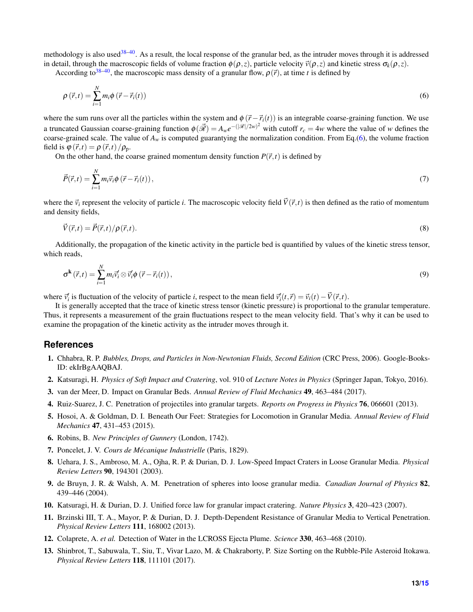methodology is also used<sup>[38](#page-13-24)[–40](#page-13-26)</sup>. As a result, the local response of the granular bed, as the intruder moves through it is addressed in detail, through the macroscopic fields of volume fraction  $\phi(\rho, z)$ , particle velocity  $\vec{v}(\rho, z)$  and kinetic stress  $\sigma_k(\rho, z)$ .

According to<sup>[38](#page-13-24)[–40](#page-13-26)</sup>, the macroscopic mass density of a granular flow,  $\rho(\vec{r})$ , at time *t* is defined by

<span id="page-12-13"></span>
$$
\rho\left(\vec{r},t\right) = \sum_{i=1}^{N} m_i \phi\left(\vec{r} - \vec{r}_i(t)\right) \tag{6}
$$

where the sum runs over all the particles within the system and  $\phi(\vec{r} - \vec{r}_i(t))$  is an integrable coarse-graining function. We use a truncated Gaussian coarse-graining function  $\phi(\vec{\mathscr{R}}) = A_w e^{-(|\mathscr{R}|/2w)^2}$  with cutoff  $r_c = 4w$  where the value of *w* defines the coarse-grained scale. The value of  $A_w$  is computed guarantying the normalization condition. From Eq.[\(6\)](#page-12-13), the volume fraction field is  $\varphi(\vec{r},t) = \rho(\vec{r},t)/\rho_{\text{n}}$ .

On the other hand, the coarse grained momentum density function  $P(\vec{r},t)$  is defined by

$$
\vec{P}(\vec{r},t) = \sum_{i=1}^{N} m_i \vec{v}_i \phi \left( \vec{r} - \vec{r}_i(t) \right),\tag{7}
$$

where the  $\vec{v}_i$  represent the velocity of particle *i*. The macroscopic velocity field  $\vec{V}(\vec{r},t)$  is then defined as the ratio of momentum and density fields,

$$
\vec{V}(\vec{r},t) = \vec{P}(\vec{r},t)/\rho(\vec{r},t). \tag{8}
$$

Additionally, the propagation of the kinetic activity in the particle bed is quantified by values of the kinetic stress tensor, which reads,

$$
\sigma^{\mathbf{k}}\left(\vec{r},t\right) = \sum_{i=1}^{N} m_i \vec{v}_i' \otimes \vec{v}_i' \phi\left(\vec{r} - \vec{r}_i(t)\right),\tag{9}
$$

where  $\vec{v}'_i$  is fluctuation of the velocity of particle *i*, respect to the mean field  $\vec{v}'_i(t, \vec{r}) = \vec{v}_i(t) - \vec{V}(\vec{r}, t)$ .

It is generally accepted that the trace of kinetic stress tensor (kinetic pressure) is proportional to the granular temperature. Thus, it represents a measurement of the grain fluctuations respect to the mean velocity field. That's why it can be used to examine the propagation of the kinetic activity as the intruder moves through it.

#### **References**

- <span id="page-12-0"></span>1. Chhabra, R. P. *Bubbles, Drops, and Particles in Non-Newtonian Fluids, Second Edition* (CRC Press, 2006). Google-Books-ID: ekIrBgAAQBAJ.
- <span id="page-12-10"></span>2. Katsuragi, H. *Physics of Soft Impact and Cratering*, vol. 910 of *Lecture Notes in Physics* (Springer Japan, Tokyo, 2016).
- <span id="page-12-1"></span>3. van der Meer, D. Impact on Granular Beds. *Annual Review of Fluid Mechanics* 49, 463–484 (2017).
- <span id="page-12-2"></span>4. Ruiz-Suarez, J. C. Penetration of projectiles into granular targets. *Reports on Progress in Physics* 76, 066601 (2013).
- <span id="page-12-3"></span>5. Hosoi, A. & Goldman, D. I. Beneath Our Feet: Strategies for Locomotion in Granular Media. *Annual Review of Fluid Mechanics* 47, 431–453 (2015).
- <span id="page-12-4"></span>6. Robins, B. *New Principles of Gunnery* (London, 1742).
- <span id="page-12-5"></span>7. Poncelet, J. V. *Cours de Mecanique Industrielle ´* (Paris, 1829).
- <span id="page-12-6"></span>8. Uehara, J. S., Ambroso, M. A., Ojha, R. P. & Durian, D. J. Low-Speed Impact Craters in Loose Granular Media. *Physical Review Letters* 90, 194301 (2003).
- <span id="page-12-12"></span>9. de Bruyn, J. R. & Walsh, A. M. Penetration of spheres into loose granular media. *Canadian Journal of Physics* 82, 439–446 (2004).
- <span id="page-12-11"></span>10. Katsuragi, H. & Durian, D. J. Unified force law for granular impact cratering. *Nature Physics* 3, 420–423 (2007).
- <span id="page-12-7"></span>11. Brzinski III, T. A., Mayor, P. & Durian, D. J. Depth-Dependent Resistance of Granular Media to Vertical Penetration. *Physical Review Letters* 111, 168002 (2013).
- <span id="page-12-8"></span>12. Colaprete, A. *et al.* Detection of Water in the LCROSS Ejecta Plume. *Science* 330, 463–468 (2010).
- <span id="page-12-9"></span>13. Shinbrot, T., Sabuwala, T., Siu, T., Vivar Lazo, M. & Chakraborty, P. Size Sorting on the Rubble-Pile Asteroid Itokawa. *Physical Review Letters* 118, 111101 (2017).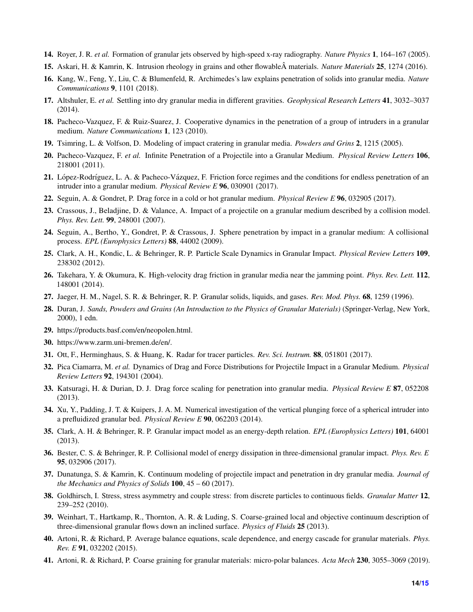- <span id="page-13-0"></span>14. Royer, J. R. *et al.* Formation of granular jets observed by high-speed x-ray radiography. *Nature Physics* 1, 164–167 (2005).
- <span id="page-13-1"></span>15. Askari, H. & Kamrin, K. Intrusion rheology in grains and other flowableA materials. ˆ *Nature Materials* 25, 1274 (2016).
- <span id="page-13-2"></span>16. Kang, W., Feng, Y., Liu, C. & Blumenfeld, R. Archimedes's law explains penetration of solids into granular media. *Nature Communications* 9, 1101 (2018).
- <span id="page-13-3"></span>17. Altshuler, E. *et al.* Settling into dry granular media in different gravities. *Geophysical Research Letters* 41, 3032–3037 (2014).
- <span id="page-13-4"></span>18. Pacheco-Vazquez, F. & Ruiz-Suarez, J. Cooperative dynamics in the penetration of a group of intruders in a granular medium. *Nature Communications* 1, 123 (2010).
- <span id="page-13-5"></span>19. Tsimring, L. & Volfson, D. Modeling of impact cratering in granular media. *Powders and Grins* 2, 1215 (2005).
- <span id="page-13-6"></span>20. Pacheco-Vazquez, F. *et al.* Infinite Penetration of a Projectile into a Granular Medium. *Physical Review Letters* 106, 218001 (2011).
- <span id="page-13-7"></span>21. López-Rodríguez, L. A. & Pacheco-Vázquez, F. Friction force regimes and the conditions for endless penetration of an intruder into a granular medium. *Physical Review E* 96, 030901 (2017).
- <span id="page-13-8"></span>22. Seguin, A. & Gondret, P. Drag force in a cold or hot granular medium. *Physical Review E* 96, 032905 (2017).
- <span id="page-13-9"></span>23. Crassous, J., Beladjine, D. & Valance, A. Impact of a projectile on a granular medium described by a collision model. *Phys. Rev. Lett.* 99, 248001 (2007).
- <span id="page-13-10"></span>24. Seguin, A., Bertho, Y., Gondret, P. & Crassous, J. Sphere penetration by impact in a granular medium: A collisional process. *EPL (Europhysics Letters)* 88, 44002 (2009).
- <span id="page-13-11"></span>25. Clark, A. H., Kondic, L. & Behringer, R. P. Particle Scale Dynamics in Granular Impact. *Physical Review Letters* 109, 238302 (2012).
- <span id="page-13-12"></span>26. Takehara, Y. & Okumura, K. High-velocity drag friction in granular media near the jamming point. *Phys. Rev. Lett.* 112, 148001 (2014).
- <span id="page-13-13"></span>27. Jaeger, H. M., Nagel, S. R. & Behringer, R. P. Granular solids, liquids, and gases. *Rev. Mod. Phys.* 68, 1259 (1996).
- <span id="page-13-14"></span>28. Duran, J. *Sands, Powders and Grains (An Introduction to the Physics of Granular Materials)* (Springer-Verlag, New York, 2000), 1 edn.
- <span id="page-13-15"></span>29. https://products.basf.com/en/neopolen.html.
- <span id="page-13-16"></span>30. https://www.zarm.uni-bremen.de/en/.
- <span id="page-13-17"></span>31. Ott, F., Herminghaus, S. & Huang, K. Radar for tracer particles. *Rev. Sci. Instrum.* 88, 051801 (2017).
- <span id="page-13-18"></span>32. Pica Ciamarra, M. *et al.* Dynamics of Drag and Force Distributions for Projectile Impact in a Granular Medium. *Physical Review Letters* 92, 194301 (2004).
- <span id="page-13-20"></span>33. Katsuragi, H. & Durian, D. J. Drag force scaling for penetration into granular media. *Physical Review E* 87, 052208 (2013).
- <span id="page-13-19"></span>34. Xu, Y., Padding, J. T. & Kuipers, J. A. M. Numerical investigation of the vertical plunging force of a spherical intruder into a prefluidized granular bed. *Physical Review E* 90, 062203 (2014).
- <span id="page-13-21"></span>35. Clark, A. H. & Behringer, R. P. Granular impact model as an energy-depth relation. *EPL (Europhysics Letters)* 101, 64001 (2013).
- <span id="page-13-22"></span>36. Bester, C. S. & Behringer, R. P. Collisional model of energy dissipation in three-dimensional granular impact. *Phys. Rev. E* 95, 032906 (2017).
- <span id="page-13-23"></span>37. Dunatunga, S. & Kamrin, K. Continuum modeling of projectile impact and penetration in dry granular media. *Journal of the Mechanics and Physics of Solids* 100, 45 – 60 (2017).
- <span id="page-13-24"></span>38. Goldhirsch, I. Stress, stress asymmetry and couple stress: from discrete particles to continuous fields. *Granular Matter* 12, 239–252 (2010).
- 39. Weinhart, T., Hartkamp, R., Thornton, A. R. & Luding, S. Coarse-grained local and objective continuum description of three-dimensional granular flows down an inclined surface. *Physics of Fluids* 25 (2013).
- <span id="page-13-26"></span>40. Artoni, R. & Richard, P. Average balance equations, scale dependence, and energy cascade for granular materials. *Phys. Rev. E* 91, 032202 (2015).
- <span id="page-13-25"></span>41. Artoni, R. & Richard, P. Coarse graining for granular materials: micro-polar balances. *Acta Mech* 230, 3055–3069 (2019).